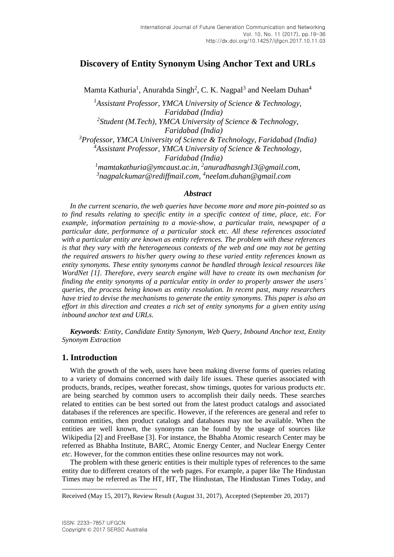# **Discovery of Entity Synonym Using Anchor Text and URLs**

Mamta Kathuria<sup>1</sup>, Anurahda Singh<sup>2</sup>, C. K. Nagpal<sup>3</sup> and Neelam Duhan<sup>4</sup>

*<sup>1</sup>Assistant Professor, YMCA University of Science & Technology, Faridabad (India) 2 Student (M.Tech), YMCA University of Science & Technology, Faridabad (India) <sup>3</sup>Professor, YMCA University of Science & Technology, Faridabad (India) <sup>4</sup>Assistant Professor, YMCA University of Science & Technology, Faridabad (India)*

<sup>1</sup> [mamtakathuria@ymcaust.ac.in,](mailto:mamtakathuria@ymcaust.ac.in) <sup>2</sup>[anuradhasngh13@gmail.com,](mailto:anuradhasngh13@gmail.com) *3 [nagpalckumar@rediffmail.com,](mailto:nagpalckumar@rediffmail.com) 4 [neelam.duhan@gmail.com](mailto:4neelam.duhan@gmail.com)*

#### *Abstract*

*In the current scenario, the web queries have become more and more pin-pointed so as to find results relating to specific entity in a specific context of time, place, etc. For example, information pertaining to a movie-show, a particular train, newspaper of a particular date, performance of a particular stock etc. All these references associated with a particular entity are known as entity references. The problem with these references is that they vary with the heterogeneous contexts of the web and one may not be getting the required answers to his/her query owing to these varied entity references known as entity synonyms. These entity synonyms cannot be handled through lexical resources like WordNet [1]. Therefore, every search engine will have to create its own mechanism for finding the entity synonyms of a particular entity in order to properly answer the users' queries, the process being known as entity resolution. In recent past, many researchers have tried to devise the mechanisms to generate the entity synonyms. This paper is also an effort in this direction and creates a rich set of entity synonyms for a given entity using inbound anchor text and URLs.*

*Keywords: Entity, Candidate Entity Synonym, Web Query, Inbound Anchor text, Entity Synonym Extraction*

## **1. Introduction**

With the growth of the web, users have been making diverse forms of queries relating to a variety of domains concerned with daily life issues. These queries associated with products, brands, recipes, weather forecast, show timings, quotes for various products *etc*. are being searched by common users to accomplish their daily needs. These searches related to entities can be best sorted out from the latest product catalogs and associated databases if the references are specific. However, if the references are general and refer to common entities, then product catalogs and databases may not be available. When the entities are well known, the synonyms can be found by the usage of sources like Wikipedia [2] and FreeBase [3]. For instance, the Bhabha Atomic research Center may be referred as Bhabha Institute, BARC, Atomic Energy Center, and Nuclear Energy Center *etc*. However, for the common entities these online resources may not work.

The problem with these generic entities is their multiple types of references to the same entity due to different creators of the web pages. For example, a paper like The Hindustan Times may be referred as The HT, HT, The Hindustan, The Hindustan Times Today, and

l

Received (May 15, 2017), Review Result (August 31, 2017), Accepted (September 20, 2017)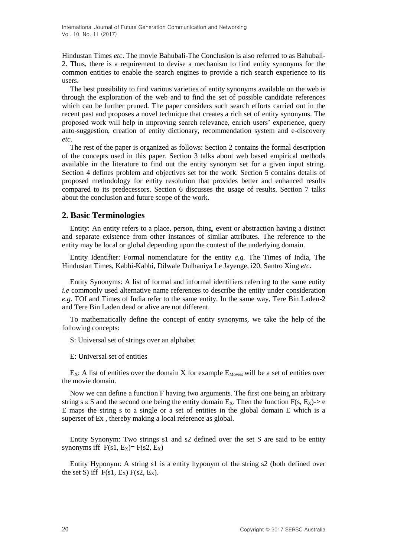Hindustan Times *etc*. The movie Bahubali-The Conclusion is also referred to as Bahubali-2. Thus, there is a requirement to devise a mechanism to find entity synonyms for the common entities to enable the search engines to provide a rich search experience to its users.

The best possibility to find various varieties of entity synonyms available on the web is through the exploration of the web and to find the set of possible candidate references which can be further pruned. The paper considers such search efforts carried out in the recent past and proposes a novel technique that creates a rich set of entity synonyms. The proposed work will help in improving search relevance, enrich users' experience, query auto-suggestion, creation of entity dictionary, recommendation system and e-discovery *etc*.

The rest of the paper is organized as follows: Section 2 contains the formal description of the concepts used in this paper. Section 3 talks about web based empirical methods available in the literature to find out the entity synonym set for a given input string. Section 4 defines problem and objectives set for the work. Section 5 contains details of proposed methodology for entity resolution that provides better and enhanced results compared to its predecessors. Section 6 discusses the usage of results. Section 7 talks about the conclusion and future scope of the work.

# **2. Basic Terminologies**

Entity: An entity refers to a place, person, thing, event or abstraction having a distinct and separate existence from other instances of similar attributes. The reference to the entity may be local or global depending upon the context of the underlying domain.

Entity Identifier: Formal nomenclature for the entity *e.g.* The Times of India, The Hindustan Times, Kabhi-Kabhi, Dilwale Dulhaniya Le Jayenge, i20, Santro Xing *etc*.

Entity Synonyms: A list of formal and informal identifiers referring to the same entity *i.e* commonly used alternative name references to describe the entity under consideration *e.g.* TOI and Times of India refer to the same entity. In the same way, Tere Bin Laden-2 and Tere Bin Laden dead or alive are not different.

To mathematically define the concept of entity synonyms, we take the help of the following concepts:

S: Universal set of strings over an alphabet

E: Universal set of entities

 $E_X$ : A list of entities over the domain X for example  $E_{\text{Movies}}$  will be a set of entities over the movie domain.

Now we can define a function F having two arguments. The first one being an arbitrary string s  $\epsilon$  S and the second one being the entity domain E<sub>X</sub>. Then the function F(s, E<sub>X</sub>)-> e E maps the string s to a single or a set of entities in the global domain E which is a superset of Ex , thereby making a local reference as global.

Entity Synonym: Two strings s1 and s2 defined over the set S are said to be entity synonyms iff  $F(s1, E_x) = F(s2, E_x)$ 

Entity Hyponym: A string s1 is a entity hyponym of the string s2 (both defined over the set S) iff  $F(s1, E_X) F(s2, E_X)$ .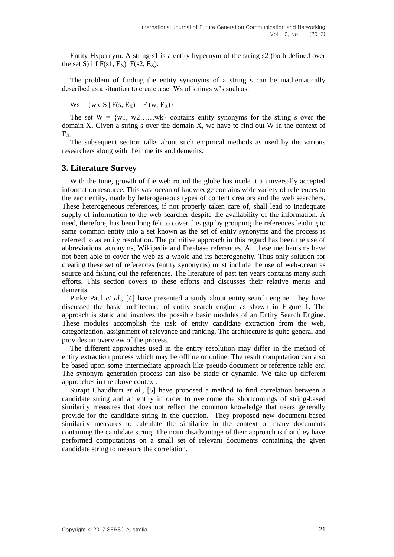Entity Hypernym: A string s1 is a entity hypernym of the string s2 (both defined over the set S) iff  $F(s1, E_X)$   $F(s2, E_X)$ .

The problem of finding the entity synonyms of a string s can be mathematically described as a situation to create a set Ws of strings w's such as:

$$
W_s = \{ w \in S \mid F(s, E_x) = F(w, E_x) \}
$$

The set  $W = \{w_1, w_2, \ldots, w_k\}$  contains entity synonyms for the string s over the domain X. Given a string s over the domain X, we have to find out W in the context of EX.

The subsequent section talks about such empirical methods as used by the various researchers along with their merits and demerits.

#### **3. Literature Survey**

With the time, growth of the web round the globe has made it a universally accepted information resource. This vast ocean of knowledge contains wide variety of references to the each entity, made by heterogeneous types of content creators and the web searchers. These heterogeneous references, if not properly taken care of, shall lead to inadequate supply of information to the web searcher despite the availability of the information. A need, therefore, has been long felt to cover this gap by grouping the references leading to same common entity into a set known as the set of entity synonyms and the process is referred to as entity resolution. The primitive approach in this regard has been the use of abbreviations, acronyms, Wikipedia and Freebase references. All these mechanisms have not been able to cover the web as a whole and its heterogeneity. Thus only solution for creating these set of references (entity synonyms) must include the use of web-ocean as source and fishing out the references. The literature of past ten years contains many such efforts. This section covers to these efforts and discusses their relative merits and demerits.

Pinky Paul *et al.*, [4] have presented a study about entity search engine. They have discussed the basic architecture of entity search engine as shown in Figure 1. The approach is static and involves the possible basic modules of an Entity Search Engine. These modules accomplish the task of entity candidate extraction from the web, categorization, assignment of relevance and ranking. The architecture is quite general and provides an overview of the process.

The different approaches used in the entity resolution may differ in the method of entity extraction process which may be offline or online. The result computation can also be based upon some intermediate approach like pseudo document or reference table *etc*. The synonym generation process can also be static or dynamic. We take up different approaches in the above context.

Surajit Chaudhuri *et al.,* [5] have proposed a method to find correlation between a candidate string and an entity in order to overcome the shortcomings of string-based similarity measures that does not reflect the common knowledge that users generally provide for the candidate string in the question. They proposed new document-based similarity measures to calculate the similarity in the context of many documents containing the candidate string. The main disadvantage of their approach is that they have performed computations on a small set of relevant documents containing the given candidate string to measure the correlation.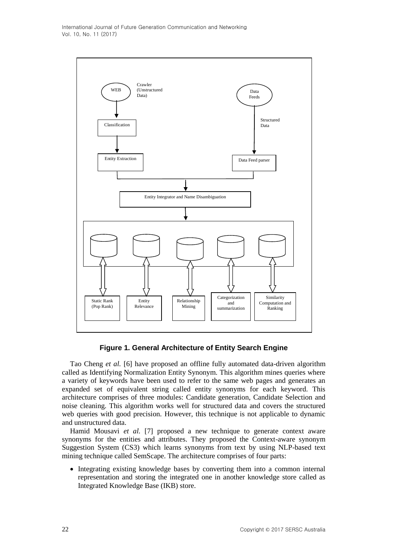

**Figure 1. General Architecture of Entity Search Engine**

Tao Cheng *et al.* [6] have proposed an offline fully automated data-driven algorithm called as Identifying Normalization Entity Synonym. This algorithm mines queries where a variety of keywords have been used to refer to the same web pages and generates an expanded set of equivalent string called entity synonyms for each keyword. This architecture comprises of three modules: Candidate generation, Candidate Selection and noise cleaning. This algorithm works well for structured data and covers the structured web queries with good precision. However, this technique is not applicable to dynamic and unstructured data.

Hamid Mousavi *et al.* [7] proposed a new technique to generate context aware synonyms for the entities and attributes. They proposed the Context-aware synonym Suggestion System (CS3) which learns synonyms from text by using NLP-based text mining technique called SemScape. The architecture comprises of four parts:

 Integrating existing knowledge bases by converting them into a common internal representation and storing the integrated one in another knowledge store called as Integrated Knowledge Base (IKB) store.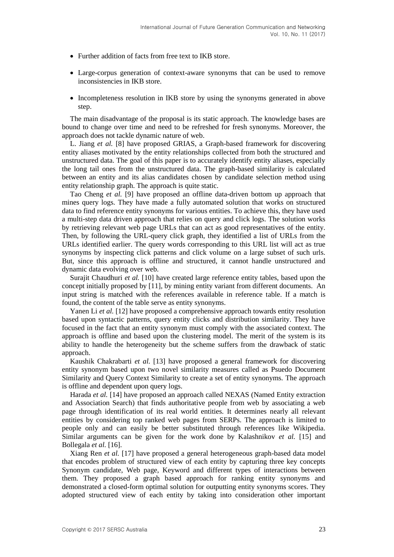- Further addition of facts from free text to IKB store.
- Large-corpus generation of context-aware synonyms that can be used to remove inconsistencies in IKB store.
- Incompleteness resolution in IKB store by using the synonyms generated in above step.

The main disadvantage of the proposal is its static approach. The knowledge bases are bound to change over time and need to be refreshed for fresh synonyms. Moreover, the approach does not tackle dynamic nature of web.

L. Jiang *et al.* [8] have proposed GRIAS, a Graph-based framework for discovering entity aliases motivated by the entity relationships collected from both the structured and unstructured data. The goal of this paper is to accurately identify entity aliases, especially the long tail ones from the unstructured data. The graph-based similarity is calculated between an entity and its alias candidates chosen by candidate selection method using entity relationship graph. The approach is quite static.

Tao Cheng *et al.* [9] have proposed an offline data-driven bottom up approach that mines query logs. They have made a fully automated solution that works on structured data to find reference entity synonyms for various entities. To achieve this, they have used a multi-step data driven approach that relies on query and click logs. The solution works by retrieving relevant web page URLs that can act as good representatives of the entity. Then, by following the URL-query click graph, they identified a list of URLs from the URLs identified earlier. The query words corresponding to this URL list will act as true synonyms by inspecting click patterns and click volume on a large subset of such urls. But, since this approach is offline and structured, it cannot handle unstructured and dynamic data evolving over web.

Surajit Chaudhuri *et al.* [10] have created large reference entity tables, based upon the concept initially proposed by [11], by mining entity variant from different documents. An input string is matched with the references available in reference table. If a match is found, the content of the table serve as entity synonyms.

Yanen Li *et al.* [12] have proposed a comprehensive approach towards entity resolution based upon syntactic patterns, query entity clicks and distribution similarity. They have focused in the fact that an entity synonym must comply with the associated context. The approach is offline and based upon the clustering model. The merit of the system is its ability to handle the heterogeneity but the scheme suffers from the drawback of static approach.

Kaushik Chakrabarti *et al.* [13] have proposed a general framework for discovering entity synonym based upon two novel similarity measures called as Psuedo Document Similarity and Query Context Similarity to create a set of entity synonyms. The approach is offline and dependent upon query logs.

Harada *et al.* [14] have proposed an approach called NEXAS (Named Entity extraction and Association Search) that finds authoritative people from web by associating a web page through identification of its real world entities. It determines nearly all relevant entities by considering top ranked web pages from SERPs. The approach is limited to people only and can easily be better substituted through references like Wikipedia. Similar arguments can be given for the work done by Kalashnikov *et al.* [15] and Bollegala *et al.* [16].

Xiang Ren *et al.* [17] have proposed a general heterogeneous graph-based data model that encodes problem of structured view of each entity by capturing three key concepts Synonym candidate, Web page, Keyword and different types of interactions between them. They proposed a graph based approach for ranking entity synonyms and demonstrated a closed-form optimal solution for outputting entity synonyms scores. They adopted structured view of each entity by taking into consideration other important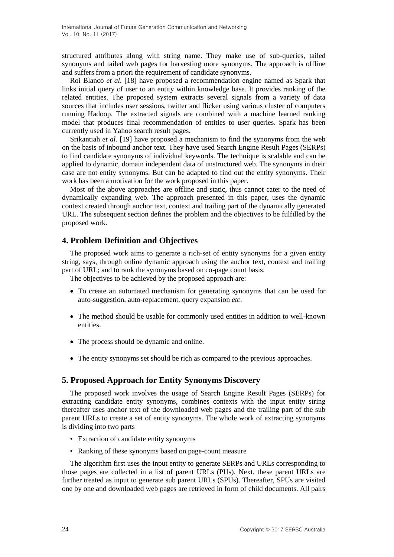structured attributes along with string name. They make use of sub-queries, tailed synonyms and tailed web pages for harvesting more synonyms. The approach is offline and suffers from a priori the requirement of candidate synonyms.

Roi Blanco *et al.* [18] have proposed a recommendation engine named as Spark that links initial query of user to an entity within knowledge base. It provides ranking of the related entities. The proposed system extracts several signals from a variety of data sources that includes user sessions, twitter and flicker using various cluster of computers running Hadoop. The extracted signals are combined with a machine learned ranking model that produces final recommendation of entities to user queries. Spark has been currently used in Yahoo search result pages.

Srikantiah *et al.* [19] have proposed a mechanism to find the synonyms from the web on the basis of inbound anchor text. They have used Search Engine Result Pages (SERPs) to find candidate synonyms of individual keywords. The technique is scalable and can be applied to dynamic, domain independent data of unstructured web. The synonyms in their case are not entity synonyms. But can be adapted to find out the entity synonyms. Their work has been a motivation for the work proposed in this paper.

Most of the above approaches are offline and static, thus cannot cater to the need of dynamically expanding web. The approach presented in this paper, uses the dynamic context created through anchor text, context and trailing part of the dynamically generated URL. The subsequent section defines the problem and the objectives to be fulfilled by the proposed work.

## **4. Problem Definition and Objectives**

The proposed work aims to generate a rich-set of entity synonyms for a given entity string, says, through online dynamic approach using the anchor text, context and trailing part of URL; and to rank the synonyms based on co-page count basis.

The objectives to be achieved by the proposed approach are:

- To create an automated mechanism for generating synonyms that can be used for auto-suggestion, auto-replacement, query expansion *etc*.
- The method should be usable for commonly used entities in addition to well-known entities.
- The process should be dynamic and online.
- The entity synonyms set should be rich as compared to the previous approaches.

## **5. Proposed Approach for Entity Synonyms Discovery**

The proposed work involves the usage of Search Engine Result Pages (SERPs) for extracting candidate entity synonyms, combines contexts with the input entity string thereafter uses anchor text of the downloaded web pages and the trailing part of the sub parent URLs to create a set of entity synonyms. The whole work of extracting synonyms is dividing into two parts

- Extraction of candidate entity synonyms
- Ranking of these synonyms based on page-count measure

The algorithm first uses the input entity to generate SERPs and URLs corresponding to those pages are collected in a list of parent URLs (PUs). Next, these parent URLs are further treated as input to generate sub parent URLs (SPUs). Thereafter, SPUs are visited one by one and downloaded web pages are retrieved in form of child documents. All pairs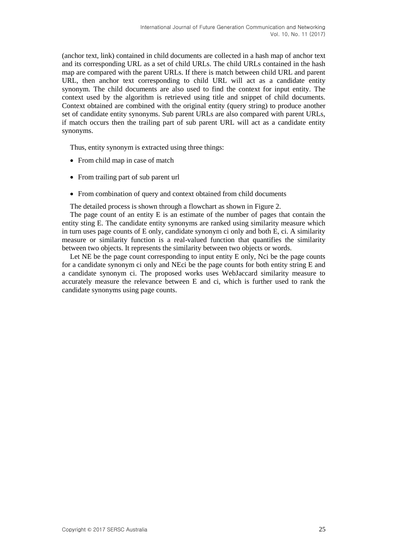(anchor text, link) contained in child documents are collected in a hash map of anchor text and its corresponding URL as a set of child URLs. The child URLs contained in the hash map are compared with the parent URLs. If there is match between child URL and parent URL, then anchor text corresponding to child URL will act as a candidate entity synonym. The child documents are also used to find the context for input entity. The context used by the algorithm is retrieved using title and snippet of child documents. Context obtained are combined with the original entity (query string) to produce another set of candidate entity synonyms. Sub parent URLs are also compared with parent URLs, if match occurs then the trailing part of sub parent URL will act as a candidate entity synonyms.

Thus, entity synonym is extracted using three things:

- From child map in case of match
- From trailing part of sub parent url
- From combination of query and context obtained from child documents

The detailed process is shown through a flowchart as shown in Figure 2.

The page count of an entity E is an estimate of the number of pages that contain the entity sting E. The candidate entity synonyms are ranked using similarity measure which in turn uses page counts of E only, candidate synonym ci only and both E, ci. A similarity measure or similarity function is a real-valued function that quantifies the similarity between two objects. It represents the similarity between two objects or words.

Let NE be the page count corresponding to input entity E only, Nci be the page counts for a candidate synonym ci only and NEci be the page counts for both entity string E and a candidate synonym ci. The proposed works uses WebJaccard similarity measure to accurately measure the relevance between E and ci, which is further used to rank the candidate synonyms using page counts.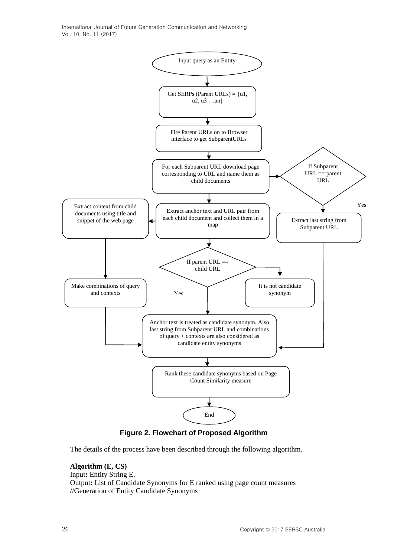International Journal of Future Generation Communication and Networking Vol. 10, No. 11 (2017)



**Figure 2. Flowchart of Proposed Algorithm**

The details of the process have been described through the following algorithm.

**Algorithm (E, CS)** Input**:** Entity String E. Output**:** List of Candidate Synonyms for E ranked using page count measures //Generation of Entity Candidate Synonyms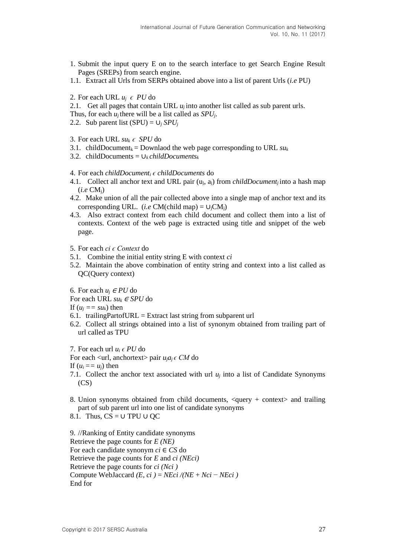- 1. Submit the input query E on to the search interface to get Search Engine Result Pages (SREPs) from search engine.
- 1.1. Extract all Urls from SERPs obtained above into a list of parent Urls (*i.e* PU)
- 2. For each URL  $u_i \in PU$  do
- 2.1. Get all pages that contain URL  $u_i$  into another list called as sub parent urls.
- Thus, for each *u<sub>i</sub>* there will be a list called as *SPU<sub>i</sub>*.
- 2.2. Sub parent list  $(SPU) = U_i SPU_i$
- 3. For each URL  $su_k \in SPU$  do
- 3.1. childDocument<sub>k</sub> = Downlaod the web page corresponding to URL  $su_k$
- 3.2. childDocuments = ∪*k childDocuments<sup>k</sup>*
- 4. For each *childDocument<sup>i</sup> ϵ childDocuments* do
- 4.1. Collect all anchor text and URL pair (uj, aj) from *childDocument<sup>j</sup>* into a hash map (*i.e* CMj)
- 4.2. Make union of all the pair collected above into a single map of anchor text and its corresponding URL. (*i.e* CM(child map) =  $\cup_i$ CM<sub>i</sub>)
- 4.3. Also extract context from each child document and collect them into a list of contexts. Context of the web page is extracted using title and snippet of the web page.
- 5. For each *ci ϵ Context* do
- 5.1. Combine the initial entity string E with context *ci*
- 5.2. Maintain the above combination of entity string and context into a list called as QC(Query context)

6. For each  $u_i \in PU$  do

- For each URL  $su_k \in SPU$  do
- If  $(u_i == su_k)$  then
- 6.1. trailingPartofURL = Extract last string from subparent url
- 6.2. Collect all strings obtained into a list of synonym obtained from trailing part of url called as TPU

7. For each url  $u_i \in PU$  do

For each  $\langle$ url, anchortext $\rangle$  pair  $u_i a_i \in CM$  do

If  $(u_i == u_i)$  then

- 7.1. Collect the anchor text associated with url  $u_i$  into a list of Candidate Synonyms  $(CS)$
- 8. Union synonyms obtained from child documents, <query + context> and trailing part of sub parent url into one list of candidate synonyms

8.1. Thus,  $CS = \cup TPU \cup OC$ 

9. //Ranking of Entity candidate synonyms Retrieve the page counts for *E (NE)* For each candidate synonym *ci* ∈ *CS* do Retrieve the page counts for *E* and *ci (NEci)* Retrieve the page counts for *ci (Nci )* Compute WebJaccard  $(E, ci) = NEci / (NE + Nci - NEci)$ End for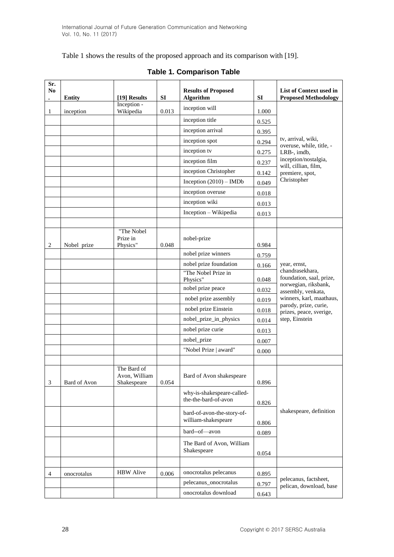Table 1 shows the results of the proposed approach and its comparison with [19].

| Sr.<br>N <sub>0</sub> | <b>Entity</b> | [19] Results                                | <b>SI</b> | <b>Results of Proposed</b><br>Algorithm            | <b>SI</b> | List of Context used in<br><b>Proposed Methodology</b> |
|-----------------------|---------------|---------------------------------------------|-----------|----------------------------------------------------|-----------|--------------------------------------------------------|
| 1                     |               | Inception -<br>Wikipedia                    | 0.013     | inception will                                     | 1.000     |                                                        |
|                       | inception     |                                             |           | inception title                                    | 0.525     |                                                        |
|                       |               |                                             |           | inception arrival                                  | 0.395     |                                                        |
|                       |               |                                             |           | inception spot                                     | 0.294     | tv, arrival, wiki,                                     |
|                       |               |                                             |           | inception tv                                       | 0.275     | overuse, while, title, -<br>LRB-, imdb,                |
|                       |               |                                             |           | inception film                                     | 0.237     | inception/nostalgia,                                   |
|                       |               |                                             |           | inception Christopher                              | 0.142     | will, cillian, film,<br>premiere, spot,                |
|                       |               |                                             |           | Inception $(2010)$ – IMDb                          | 0.049     | Christopher                                            |
|                       |               |                                             |           | inception overuse                                  | 0.018     |                                                        |
|                       |               |                                             |           | inception wiki                                     | 0.013     |                                                        |
|                       |               |                                             |           | Inception - Wikipedia                              | 0.013     |                                                        |
|                       |               |                                             |           |                                                    |           |                                                        |
| $\overline{2}$        | Nobel prize   | "The Nobel<br>Prize in<br>Physics"          | 0.048     | nobel-prize                                        | 0.984     |                                                        |
|                       |               |                                             |           | nobel prize winners                                | 0.759     |                                                        |
|                       |               |                                             |           | nobel prize foundation                             | 0.166     | year, ernst,                                           |
|                       |               |                                             |           | "The Nobel Prize in<br>Physics"                    | 0.048     | chandrasekhara,<br>foundation, saal, prize,            |
|                       |               |                                             |           | nobel prize peace                                  | 0.032     | norwegian, riksbank,<br>assembly, venkata,             |
|                       |               |                                             |           | nobel prize assembly                               | 0.019     | winners, karl, maathaus,                               |
|                       |               |                                             |           | nobel prize Einstein                               | 0.018     | parody, prize, curie,<br>prizes, peace, sverige,       |
|                       |               |                                             |           | nobel_prize_in_physics                             | 0.014     | step, Einstein                                         |
|                       |               |                                             |           | nobel prize curie                                  | 0.013     |                                                        |
|                       |               |                                             |           | nobel_prize                                        | 0.007     |                                                        |
|                       |               |                                             |           | "Nobel Prize   award"                              | 0.000     |                                                        |
|                       |               |                                             |           |                                                    |           |                                                        |
| 3                     | Bard of Avon  | The Bard of<br>Avon. William<br>Shakespeare | 0.054     | Bard of Avon shakespeare                           | 0.896     |                                                        |
|                       |               |                                             |           | why-is-shakespeare-called-<br>the-the-bard-of-avon | 0.826     | shakespeare, definition                                |
|                       |               |                                             |           | bard-of-avon-the-story-of-<br>william-shakespeare  | 0.806     |                                                        |
|                       |               |                                             |           | bard--of-avon                                      | 0.089     |                                                        |
|                       |               |                                             |           | The Bard of Avon, William<br>Shakespeare           | 0.054     |                                                        |
|                       |               |                                             |           |                                                    |           |                                                        |
| 4                     | onocrotalus   | <b>HBW</b> Alive                            | 0.006     | onocrotalus pelecanus                              | 0.895     | pelecanus, factsheet,                                  |
|                       |               |                                             |           | pelecanus_onocrotalus                              | 0.797     | pelican, download, base                                |
|                       |               |                                             |           | onocrotalus download                               | 0.643     |                                                        |

# **Table 1. Comparison Table**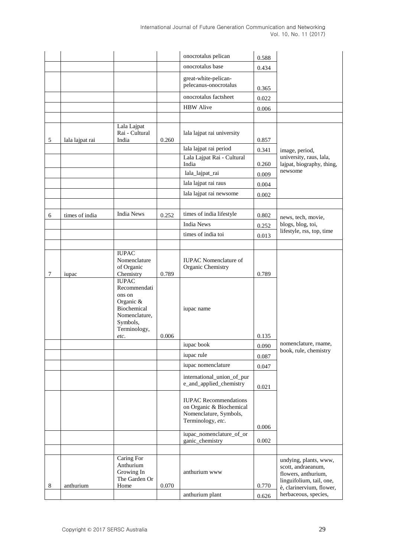|   |                 |                                                                                                                         |       | onocrotalus pelican                                                                                     | 0.588          |                                                                                                                            |
|---|-----------------|-------------------------------------------------------------------------------------------------------------------------|-------|---------------------------------------------------------------------------------------------------------|----------------|----------------------------------------------------------------------------------------------------------------------------|
|   |                 |                                                                                                                         |       | onocrotalus base                                                                                        | 0.434          |                                                                                                                            |
|   |                 |                                                                                                                         |       | great-white-pelican-<br>pelecanus-onocrotalus                                                           | 0.365          |                                                                                                                            |
|   |                 |                                                                                                                         |       | onocrotalus factsheet                                                                                   | 0.022          |                                                                                                                            |
|   |                 |                                                                                                                         |       | <b>HBW</b> Alive                                                                                        | 0.006          |                                                                                                                            |
|   |                 |                                                                                                                         |       |                                                                                                         |                |                                                                                                                            |
| 5 | lala lajpat rai | Lala Lajpat<br>Rai - Cultural<br>India                                                                                  | 0.260 | lala lajpat rai university                                                                              | 0.857          |                                                                                                                            |
|   |                 |                                                                                                                         |       | lala lajpat rai period                                                                                  | 0.341          | image, period,                                                                                                             |
|   |                 |                                                                                                                         |       | Lala Lajpat Rai - Cultural<br>India                                                                     | 0.260          | university, raus, lala,<br>lajpat, biography, thing,                                                                       |
|   |                 |                                                                                                                         |       | lala_lajpat_rai                                                                                         | 0.009          | newsome                                                                                                                    |
|   |                 |                                                                                                                         |       | lala lajpat rai raus                                                                                    | 0.004          |                                                                                                                            |
|   |                 |                                                                                                                         |       | lala lajpat rai newsome                                                                                 | 0.002          |                                                                                                                            |
|   |                 |                                                                                                                         |       |                                                                                                         |                |                                                                                                                            |
| 6 | times of india  | <b>India News</b>                                                                                                       | 0.252 | times of india lifestyle                                                                                | 0.802          | news, tech, movie,                                                                                                         |
|   |                 |                                                                                                                         |       | <b>India News</b>                                                                                       | 0.252          | blogs, blog, toi,                                                                                                          |
|   |                 |                                                                                                                         |       | times of india toi                                                                                      | 0.013          | lifestyle, rss, top, time                                                                                                  |
|   |                 |                                                                                                                         |       |                                                                                                         |                |                                                                                                                            |
| 7 | iupac           | <b>IUPAC</b><br>Nomenclature<br>of Organic<br>Chemistry                                                                 | 0.789 | <b>IUPAC</b> Nomenclature of<br>Organic Chemistry                                                       | 0.789          |                                                                                                                            |
|   |                 | <b>IUPAC</b><br>Recommendati<br>ons on<br>Organic &<br>Biochemical<br>Nomenclature,<br>Symbols,<br>Terminology,<br>etc. | 0.006 | iupac name                                                                                              | 0.135          |                                                                                                                            |
|   |                 |                                                                                                                         |       | iupac book                                                                                              | 0.090          | nomenclature, rname,                                                                                                       |
|   |                 |                                                                                                                         |       | iupac rule                                                                                              | 0.087          | book, rule, chemistry                                                                                                      |
|   |                 |                                                                                                                         |       | iupac nomenclature                                                                                      |                |                                                                                                                            |
|   |                 |                                                                                                                         |       | international_union_of_pur<br>e_and_applied_chemistry                                                   | 0.047<br>0.021 |                                                                                                                            |
|   |                 |                                                                                                                         |       | <b>IUPAC</b> Recommendations<br>on Organic & Biochemical<br>Nomenclature, Symbols,<br>Terminology, etc. | 0.006          |                                                                                                                            |
|   |                 |                                                                                                                         |       | iupac_nomenclature_of_or<br>ganic_chemistry                                                             | 0.002          |                                                                                                                            |
|   |                 |                                                                                                                         |       |                                                                                                         |                |                                                                                                                            |
| 8 | anthurium       | Caring For<br>Anthurium<br>Growing In<br>The Garden Or<br>Home                                                          | 0.070 | anthurium www                                                                                           | 0.770          | undying, plants, www,<br>scott, andraeanum,<br>flowers, anthurium,<br>linguifolium, tail, one,<br>è, clarinervium, flower, |
|   |                 |                                                                                                                         |       | anthurium plant                                                                                         | 0.626          | herbaceous, species,                                                                                                       |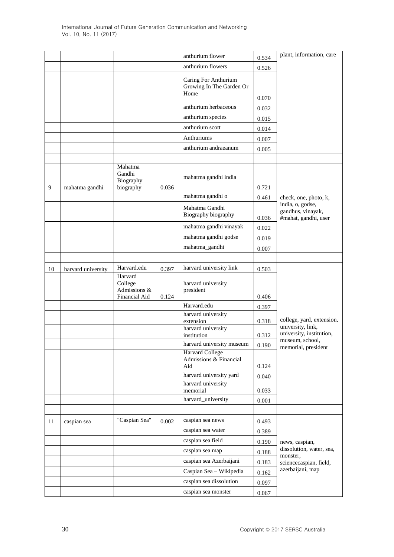|    |                    |                                                     |       | anthurium flower                                         | 0.534 | plant, information, care                                                         |
|----|--------------------|-----------------------------------------------------|-------|----------------------------------------------------------|-------|----------------------------------------------------------------------------------|
|    |                    |                                                     |       | anthurium flowers                                        | 0.526 |                                                                                  |
|    |                    |                                                     |       | Caring For Anthurium<br>Growing In The Garden Or<br>Home | 0.070 |                                                                                  |
|    |                    |                                                     |       | anthurium herbaceous                                     | 0.032 |                                                                                  |
|    |                    |                                                     |       | anthurium species                                        | 0.015 |                                                                                  |
|    |                    |                                                     |       | anthurium scott                                          | 0.014 |                                                                                  |
|    |                    |                                                     |       | Anthuriums                                               | 0.007 |                                                                                  |
|    |                    |                                                     |       | anthurium andraeanum                                     | 0.005 |                                                                                  |
|    |                    |                                                     |       |                                                          |       |                                                                                  |
| 9  | mahatma gandhi     | Mahatma<br>Gandhi<br>Biography<br>biography         | 0.036 | mahatma gandhi india                                     | 0.721 |                                                                                  |
|    |                    |                                                     |       | mahatma gandhi o                                         | 0.461 | check, one, photo, k,                                                            |
|    |                    |                                                     |       | Mahatma Gandhi<br>Biography biography                    | 0.036 | india, o, godse,<br>gandhus, vinayak,<br>#mahat, gandhi, user                    |
|    |                    |                                                     |       | mahatma gandhi vinayak                                   | 0.022 |                                                                                  |
|    |                    |                                                     |       | mahatma gandhi godse                                     | 0.019 |                                                                                  |
|    |                    |                                                     |       | mahatma_gandhi                                           | 0.007 |                                                                                  |
|    |                    |                                                     |       |                                                          |       |                                                                                  |
| 10 | harvard university | Harvard.edu                                         | 0.397 | harvard university link                                  | 0.503 |                                                                                  |
|    |                    | Harvard<br>College<br>Admissions &<br>Financial Aid | 0.124 | harvard university<br>president                          | 0.406 |                                                                                  |
|    |                    |                                                     |       | Harvard.edu                                              | 0.397 |                                                                                  |
|    |                    |                                                     |       | harvard university<br>extension                          | 0.318 | college, yard, extension,                                                        |
|    |                    |                                                     |       | harvard university<br>institution                        | 0.312 | university, link,<br>university, institution,                                    |
|    |                    |                                                     |       | harvard university museum                                | 0.190 | museum, school,                                                                  |
|    |                    |                                                     |       | <b>Harvard College</b><br>Admissions & Financial<br>Aid  | 0.124 | memorial, president                                                              |
|    |                    |                                                     |       | harvard university yard                                  | 0.040 |                                                                                  |
|    |                    |                                                     |       | harvard university<br>memorial                           | 0.033 |                                                                                  |
|    |                    |                                                     |       | harvard_university                                       | 0.001 |                                                                                  |
|    |                    |                                                     |       |                                                          |       |                                                                                  |
| 11 | caspian sea        | "Caspian Sea"                                       | 0.002 | caspian sea news                                         | 0.493 |                                                                                  |
|    |                    |                                                     |       | caspian sea water                                        | 0.389 |                                                                                  |
|    |                    |                                                     |       | caspian sea field                                        | 0.190 | news, caspian,<br>dissolution, water, sea,<br>monster,<br>sciencecaspian, field, |
|    |                    |                                                     |       | caspian sea map                                          | 0.188 |                                                                                  |
|    |                    |                                                     |       | caspian sea Azerbaijani                                  | 0.183 |                                                                                  |
|    |                    |                                                     |       | Caspian Sea - Wikipedia                                  | 0.162 | azerbaijani, map                                                                 |
|    |                    |                                                     |       | caspian sea dissolution                                  | 0.097 |                                                                                  |
|    |                    |                                                     |       | caspian sea monster                                      | 0.067 |                                                                                  |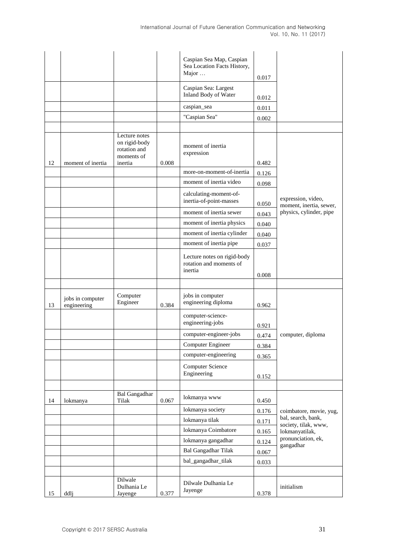|    |                                 |                                                                         |       | Caspian Sea Map, Caspian<br>Sea Location Facts History,<br>Major  | 0.017 |                                               |
|----|---------------------------------|-------------------------------------------------------------------------|-------|-------------------------------------------------------------------|-------|-----------------------------------------------|
|    |                                 |                                                                         |       | Caspian Sea: Largest                                              |       |                                               |
|    |                                 |                                                                         |       | Inland Body of Water                                              | 0.012 |                                               |
|    |                                 |                                                                         |       | caspian_sea                                                       | 0.011 |                                               |
|    |                                 |                                                                         |       | "Caspian Sea"                                                     | 0.002 |                                               |
|    |                                 |                                                                         |       |                                                                   |       |                                               |
| 12 | moment of inertia               | Lecture notes<br>on rigid-body<br>rotation and<br>moments of<br>inertia | 0.008 | moment of inertia<br>expression                                   | 0.482 |                                               |
|    |                                 |                                                                         |       | more-on-moment-of-inertia                                         | 0.126 |                                               |
|    |                                 |                                                                         |       | moment of inertia video                                           | 0.098 |                                               |
|    |                                 |                                                                         |       | calculating-moment-of-<br>inertia-of-point-masses                 | 0.050 | expression, video,<br>moment, inertia, sewer, |
|    |                                 |                                                                         |       | moment of inertia sewer                                           | 0.043 | physics, cylinder, pipe                       |
|    |                                 |                                                                         |       | moment of inertia physics                                         | 0.040 |                                               |
|    |                                 |                                                                         |       | moment of inertia cylinder                                        | 0.040 |                                               |
|    |                                 |                                                                         |       | moment of inertia pipe                                            | 0.037 |                                               |
|    |                                 |                                                                         |       | Lecture notes on rigid-body<br>rotation and moments of<br>inertia | 0.008 |                                               |
|    |                                 |                                                                         |       |                                                                   |       |                                               |
| 13 | jobs in computer<br>engineering | Computer<br>Engineer                                                    | 0.384 | jobs in computer<br>engineering diploma                           | 0.962 |                                               |
|    |                                 |                                                                         |       | computer-science-<br>engineering-jobs                             | 0.921 |                                               |
|    |                                 |                                                                         |       | computer-engineer-jobs                                            | 0.474 | computer, diploma                             |
|    |                                 |                                                                         |       | Computer Engineer                                                 | 0.384 |                                               |
|    |                                 |                                                                         |       | computer-engineering                                              | 0.365 |                                               |
|    |                                 |                                                                         |       | <b>Computer Science</b><br>Engineering                            | 0.152 |                                               |
|    |                                 |                                                                         |       |                                                                   |       |                                               |
| 14 | lokmanya                        | <b>Bal Gangadhar</b><br>Tilak                                           | 0.067 | lokmanya www                                                      | 0.450 |                                               |
|    |                                 |                                                                         |       | lokmanya society                                                  | 0.176 | coimbatore, movie, yug,                       |
|    |                                 |                                                                         |       | lokmanya tilak                                                    | 0.171 | bal, search, bank,<br>society, tilak, www,    |
|    |                                 |                                                                         |       | lokmanya Coimbatore                                               | 0.165 | lokmanyatilak,<br>pronunciation, ek,          |
|    |                                 |                                                                         |       | lokmanya gangadhar                                                | 0.124 | gangadhar                                     |
|    |                                 |                                                                         |       | <b>Bal Gangadhar Tilak</b>                                        | 0.067 |                                               |
|    |                                 |                                                                         |       | bal_gangadhar_tilak                                               | 0.033 |                                               |
|    |                                 | Dilwale                                                                 |       |                                                                   |       |                                               |
| 15 | ddlj                            | Dulhania Le<br>Jayenge                                                  | 0.377 | Dilwale Dulhania Le<br>Jayenge                                    | 0.378 | initialism                                    |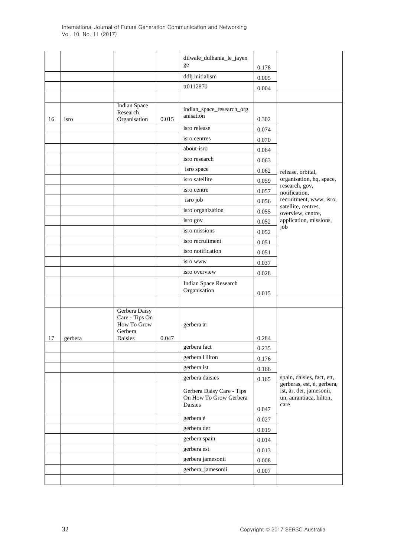|    |         |                                                           |       | dilwale_dulhania_le_jayen                                      |       |                                                                                           |
|----|---------|-----------------------------------------------------------|-------|----------------------------------------------------------------|-------|-------------------------------------------------------------------------------------------|
|    |         |                                                           |       | ge                                                             | 0.178 |                                                                                           |
|    |         |                                                           |       | ddlj initialism                                                | 0.005 |                                                                                           |
|    |         |                                                           |       | tt0112870                                                      | 0.004 |                                                                                           |
|    |         |                                                           |       |                                                                |       |                                                                                           |
|    |         | <b>Indian Space</b><br>Research                           |       | indian_space_research_org                                      |       |                                                                                           |
| 16 | isro    | Organisation                                              | 0.015 | anisation                                                      | 0.302 |                                                                                           |
|    |         |                                                           |       | isro release                                                   | 0.074 |                                                                                           |
|    |         |                                                           |       | isro centres                                                   | 0.070 |                                                                                           |
|    |         |                                                           |       | about-isro                                                     | 0.064 |                                                                                           |
|    |         |                                                           |       | isro research                                                  | 0.063 |                                                                                           |
|    |         |                                                           |       | isro space                                                     | 0.062 | release, orbital,                                                                         |
|    |         |                                                           |       | isro satellite                                                 | 0.059 | organisation, hq, space,                                                                  |
|    |         |                                                           |       | isro centre                                                    | 0.057 | research, gov,<br>notification,                                                           |
|    |         |                                                           |       | isro job                                                       | 0.056 | recruitment, www, isro,                                                                   |
|    |         |                                                           |       | isro organization                                              | 0.055 | satellite, centres,<br>overview, centre,                                                  |
|    |         |                                                           |       | isro gov                                                       | 0.052 | application, missions,                                                                    |
|    |         |                                                           |       | isro missions                                                  | 0.052 | job                                                                                       |
|    |         |                                                           |       | isro recruitment                                               | 0.051 |                                                                                           |
|    |         |                                                           |       | isro notification                                              | 0.051 |                                                                                           |
|    |         |                                                           |       | isro www                                                       | 0.037 |                                                                                           |
|    |         |                                                           |       | isro overview                                                  | 0.028 |                                                                                           |
|    |         |                                                           |       | Indian Space Research<br>Organisation                          | 0.015 |                                                                                           |
|    |         |                                                           |       |                                                                |       |                                                                                           |
|    |         | Gerbera Daisy<br>Care - Tips On<br>How To Grow<br>Gerbera |       | gerbera är                                                     |       |                                                                                           |
| 17 | gerbera | Daisies                                                   | 0.047 |                                                                | 0.284 |                                                                                           |
|    |         |                                                           |       | gerbera fact                                                   | 0.235 |                                                                                           |
|    |         |                                                           |       | gerbera Hilton                                                 | 0.176 |                                                                                           |
|    |         |                                                           |       | gerbera ist                                                    | 0.166 |                                                                                           |
|    |         |                                                           |       | gerbera daisies                                                | 0.165 | spain, daisies, fact, ett,                                                                |
|    |         |                                                           |       | Gerbera Daisy Care - Tips<br>On How To Grow Gerbera<br>Daisies |       | gerberas, est, è, gerbera,<br>ist, är, der, jamesonii,<br>un, aurantiaca, hilton,<br>care |
|    |         |                                                           |       |                                                                | 0.047 |                                                                                           |
|    |         |                                                           |       | gerbera è                                                      | 0.027 |                                                                                           |
|    |         |                                                           |       | gerbera der                                                    | 0.019 |                                                                                           |
|    |         |                                                           |       | gerbera spain                                                  | 0.014 |                                                                                           |
|    |         |                                                           |       | gerbera est                                                    | 0.013 |                                                                                           |
|    |         |                                                           |       | gerbera jamesonii                                              | 0.008 |                                                                                           |
|    |         |                                                           |       | gerbera_jamesonii                                              | 0.007 |                                                                                           |
|    |         |                                                           |       |                                                                |       |                                                                                           |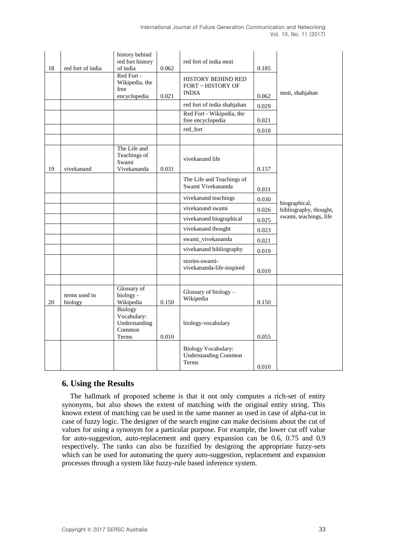| 18 | red fort of india        | history behind<br>red fort history<br>of india<br>Red Fort -<br>Wikipedia, the<br>free<br>encyclopedia | 0.062<br>0.021 | red fort of india moti<br><b>HISTORY BEHIND RED</b><br><b>FORT ~ HISTORY OF</b><br><b>INDIA</b><br>red fort of india shahjahan<br>Red Fort - Wikipedia, the<br>free encyclopedia<br>red_fort | 0.185<br>0.062<br>0.029<br>0.021<br>0.018 | moti, shahjahan        |
|----|--------------------------|--------------------------------------------------------------------------------------------------------|----------------|----------------------------------------------------------------------------------------------------------------------------------------------------------------------------------------------|-------------------------------------------|------------------------|
|    |                          | The Life and                                                                                           |                |                                                                                                                                                                                              |                                           |                        |
| 19 | vivekanand               | Teachings of<br>Swami<br>Vivekananda                                                                   | 0.031          | vivekanand life                                                                                                                                                                              | 0.157                                     |                        |
|    |                          |                                                                                                        |                | The Life and Teachings of<br>Swami Vivekananda                                                                                                                                               | 0.031                                     |                        |
|    |                          |                                                                                                        |                | vivekanand teachings                                                                                                                                                                         | 0.030                                     | biographical,          |
|    |                          |                                                                                                        |                | vivekanand swami                                                                                                                                                                             | 0.026                                     | bibliography, thought, |
|    |                          |                                                                                                        |                | vivekanand biographical                                                                                                                                                                      | 0.025                                     | swami, teachings, life |
|    |                          |                                                                                                        |                | vivekanand thought                                                                                                                                                                           | 0.023                                     |                        |
|    |                          |                                                                                                        |                | swami_vivekananda                                                                                                                                                                            | 0.021                                     |                        |
|    |                          |                                                                                                        |                | vivekanand bibliography                                                                                                                                                                      | 0.019                                     |                        |
|    |                          |                                                                                                        |                | stories-swami-<br>vivekananda-life-inspired                                                                                                                                                  | 0.010                                     |                        |
|    |                          |                                                                                                        |                |                                                                                                                                                                                              |                                           |                        |
| 20 | terms used in<br>biology | Glossary of<br>biology -<br>Wikipedia                                                                  | 0.150          | Glossary of biology -<br>Wikipedia                                                                                                                                                           | 0.150                                     |                        |
|    |                          | Biology<br>Vocabulary:<br>Understanding<br>Common<br>Terms                                             | 0.010          | biology-vocabulary                                                                                                                                                                           | 0.055                                     |                        |
|    |                          |                                                                                                        |                | <b>Biology Vocabulary:</b><br><b>Understanding Common</b><br>Terms                                                                                                                           | 0.010                                     |                        |

# **6. Using the Results**

The hallmark of proposed scheme is that it not only computes a rich-set of entity synonyms, but also shows the extent of matching with the original entity string. This known extent of matching can be used in the same manner as used in case of alpha-cut in case of fuzzy logic. The designer of the search engine can make decisions about the cut of values for using a synonym for a particular purpose. For example, the lower cut off value for auto-suggestion, auto-replacement and query expansion can be 0.6, 0.75 and 0.9 respectively. The ranks can also be fuzzified by designing the appropriate fuzzy-sets which can be used for automating the query auto-suggestion, replacement and expansion processes through a system like fuzzy-rule based inference system.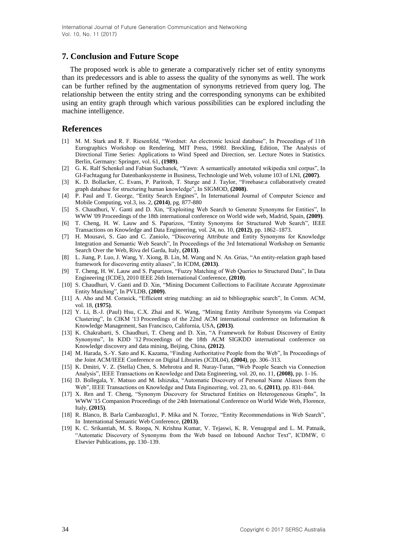### **7. Conclusion and Future Scope**

The proposed work is able to generate a comparatively richer set of entity synonyms than its predecessors and is able to assess the quality of the synonyms as well. The work can be further refined by the augmentation of synonyms retrieved from query log. The relationship between the entity string and the corresponding synonyms can be exhibited using an entity graph through which various possibilities can be explored including the machine intelligence.

#### **References**

- [1] M. M. Stark and R. F. Riesenfeld, "Wordnet: An electronic lexical database", In Proceedings of 11th Eurographics Workshop on Rendering, MIT Press, 1998J. Breckling, Edition, The Analysis of Directional Time Series: Applications to Wind Speed and Direction, ser. Lecture Notes in Statistics. Berlin, Germany: Springer, vol. 61, **(1989)**.
- [2] G. K. Ralf Schenkel and Fabian Suchanek, "Yawn: A semantically annotated wikipedia xml corpus", In GI-Fachtagung fur Datenbanksysteme in Business, Technologie und Web, volume 103 of LNI, **(2007)**.
- [3] K. D. Bollacker, C. Evans, P. Paritosh, T. Sturge and J. Taylor, "Freebase:a collaboratively created graph database for structuring human knowledge", In SIGMOD, **(2008)**.
- [4] P. Paul and T. George, "Entity Search Engines", In International Journal of Computer Science and Mobile Computing, vol.3, iss. 2, **(2014)**, pg. 877-880
- [5] S. Chaudhuri, V. Ganti and D. Xin, "Exploiting Web Search to Generate Synonyms for Entities", In WWW '09 Proceedings of the 18th international conference on World wide web, Madrid, Spain, **(2009)**.
- [6] T. Cheng, H. W. Lauw and S. Paparizos, "Entity Synonyms for Structured Web Search", IEEE Transactions on Knowledge and Data Engineering, vol. 24, no. 10, **(2012)**, pp. 1862–1873.
- [7] H. Mousavi, S. Gao and C. Zaniolo, "Discovering Attribute and Entity Synonyms for Knowledge Integration and Semantic Web Search", In Proceedings of the 3rd International Workshop on Semantic Search Over the Web, Riva del Garda, Italy, **(2013)**.
- [8] L. Jiang, P. Luo, J. Wang, Y. Xiong, B. Lin, M. Wang and N. An. Grias, "An entity-relation graph based framework for discovering entity aliases", In ICDM, **(2013)**.
- [9] T. Cheng, H. W. Lauw and S. Paparizos, "Fuzzy Matching of Web Queries to Structured Data", In Data Engineering (ICDE), 2010 IEEE 26th International Conference, **(2010)**.
- [10] S. Chaudhuri, V. Ganti and D. Xin, "Mining Document Collections to Facilitate Accurate Approximate Entity Matching", In PVLDB, **(2009)**.
- [11] A. Aho and M. Corasick, "Efficient string matching: an aid to bibliographic search", In Comm. ACM, vol. 18, **(1975)**.
- [12] Y. Li, B.-J. (Paul) Hsu, C.X. Zhai and K. Wang, "Mining Entity Attribute Synonyms via Compact Clustering", In CIKM '13 Proceedings of the 22nd ACM international conference on Information & Knowledge Management, San Francisco, California, USA, **(2013)**.
- [13] K. Chakrabarti, S. Chaudhuri, T. Cheng and D. Xin, "A Framework for Robust Discovery of Entity Synonyms", In KDD '12 Proceedings of the 18th ACM SIGKDD international conference on Knowledge discovery and data mining, Beijing, China, **(2012)**.
- [14] M. Harada, S.-Y. Sato and K. Kazama, "Finding Authoritative People from the Web", In Proceedings of the Joint ACM/IEEE Conference on Digital Libraries (JCDL04), **(2004)**, pp. 306–313.
- [15] K. Dmitri, V. Z. (Stella) Chen, S. Mehrotra and R. Nuray-Turan, "Web People Search via Connection Analysis", IEEE Transactions on Knowledge and Data Engineering, vol. 20, no. 11, **(2008)**, pp. 1–16.
- [16] D. Bollegala, Y. Matsuo and M. Ishizuka, "Automatic Discovery of Personal Name Aliases from the Web", IEEE Transactions on Knowledge and Data Engineering, vol. 23, no. 6, **(2011)**, pp. 831–844.
- [17] X. Ren and T. Cheng, "Synonym Discovery for Structured Entities on Heterogeneous Graphs", In WWW '15 Companion Proceedings of the 24th International Conference on World Wide Web, Florence, Italy, **(2015)**.
- [18] R. Blanco, B. Barla Cambazoglu1, P. Mika and N. Torzec, "Entity Recommendations in Web Search", In International Semantic Web Conference, **(2013)**.
- [19] K. C. Srikantiah, M. S. Roopa, N. Krishna Kumar, V. Tejaswi, K. R. Venugopal and L. M. Patnaik, "Automatic Discovery of Synonyms from the Web based on Inbound Anchor Text", ICDMW, © Elsevier Publications, pp. 130–139.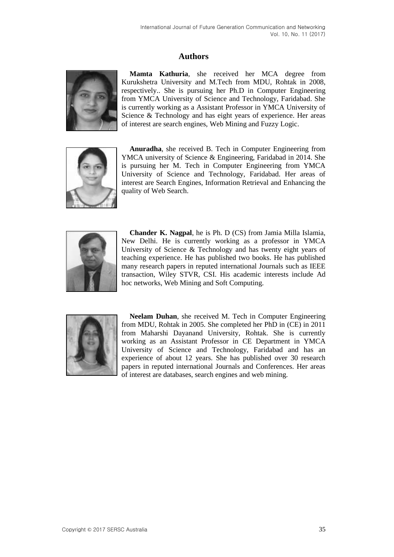## **Authors**



**Mamta Kathuria**, she received her MCA degree from Kurukshetra University and M.Tech from MDU, Rohtak in 2008, respectively.. She is pursuing her Ph.D in Computer Engineering from YMCA University of Science and Technology, Faridabad. She is currently working as a Assistant Professor in YMCA University of Science & Technology and has eight years of experience. Her areas of interest are search engines, Web Mining and Fuzzy Logic.



**Anuradha**, she received B. Tech in Computer Engineering from YMCA university of Science & Engineering, Faridabad in 2014. She is pursuing her M. Tech in Computer Engineering from YMCA University of Science and Technology, Faridabad. Her areas of interest are Search Engines, Information Retrieval and Enhancing the quality of Web Search.



**Chander K. Nagpal**, he is Ph. D (CS) from Jamia Milla Islamia, New Delhi. He is currently working as a professor in YMCA University of Science & Technology and has twenty eight years of teaching experience. He has published two books. He has published many research papers in reputed international Journals such as IEEE transaction, Wiley STVR, CSI. His academic interests include Ad hoc networks, Web Mining and Soft Computing.



**Neelam Duhan**, she received M. Tech in Computer Engineering from MDU, Rohtak in 2005. She completed her PhD in (CE) in 2011 from Maharshi Dayanand University, Rohtak. She is currently working as an Assistant Professor in CE Department in YMCA University of Science and Technology, Faridabad and has an experience of about 12 years. She has published over 30 research papers in reputed international Journals and Conferences. Her areas of interest are databases, search engines and web mining.